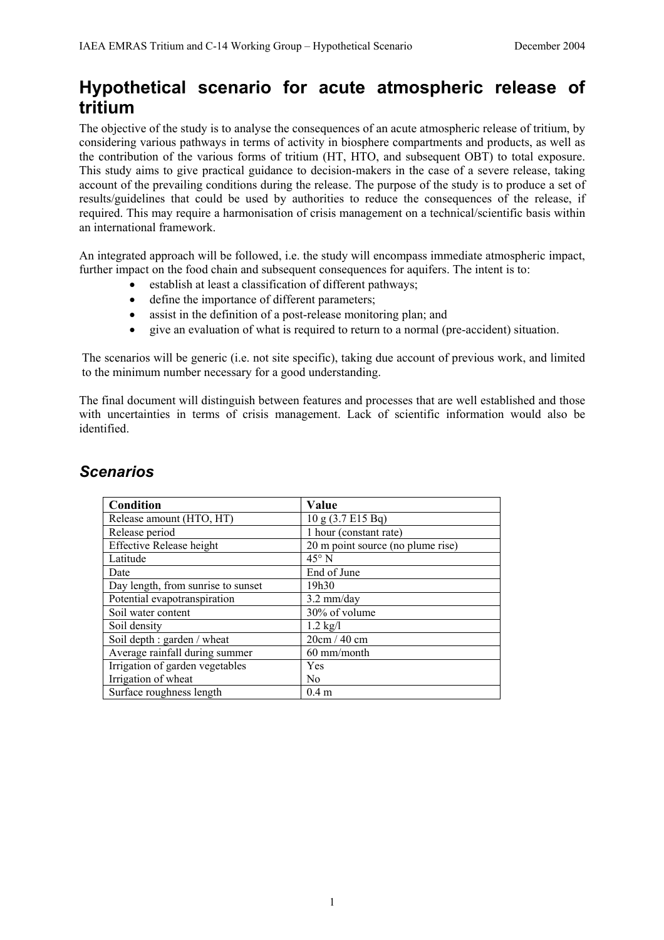# **Hypothetical scenario for acute atmospheric release of tritium**

The objective of the study is to analyse the consequences of an acute atmospheric release of tritium, by considering various pathways in terms of activity in biosphere compartments and products, as well as the contribution of the various forms of tritium (HT, HTO, and subsequent OBT) to total exposure. This study aims to give practical guidance to decision-makers in the case of a severe release, taking account of the prevailing conditions during the release. The purpose of the study is to produce a set of results/guidelines that could be used by authorities to reduce the consequences of the release, if required. This may require a harmonisation of crisis management on a technical/scientific basis within an international framework.

An integrated approach will be followed, i.e. the study will encompass immediate atmospheric impact, further impact on the food chain and subsequent consequences for aquifers. The intent is to:

- establish at least a classification of different pathways;
- define the importance of different parameters;
- assist in the definition of a post-release monitoring plan; and
- give an evaluation of what is required to return to a normal (pre-accident) situation.

The scenarios will be generic (i.e. not site specific), taking due account of previous work, and limited to the minimum number necessary for a good understanding.

The final document will distinguish between features and processes that are well established and those with uncertainties in terms of crisis management. Lack of scientific information would also be identified.

| Condition                          | Value                             |
|------------------------------------|-----------------------------------|
| Release amount (HTO, HT)           | 10 g (3.7 E15 Bq)                 |
| Release period                     | 1 hour (constant rate)            |
| <b>Effective Release height</b>    | 20 m point source (no plume rise) |
| Latitude                           | $45^{\circ}$ N                    |
| Date                               | End of June                       |
| Day length, from sunrise to sunset | 19h30                             |
| Potential evapotranspiration       | $3.2$ mm/day                      |
| Soil water content                 | 30% of volume                     |
| Soil density                       | $1.2$ kg/l                        |
| Soil depth : garden / wheat        | 20cm/40cm                         |
| Average rainfall during summer     | 60 mm/month                       |
| Irrigation of garden vegetables    | Yes                               |
| Irrigation of wheat                | N <sub>0</sub>                    |
| Surface roughness length           | 0.4 <sub>m</sub>                  |

## *Scenarios*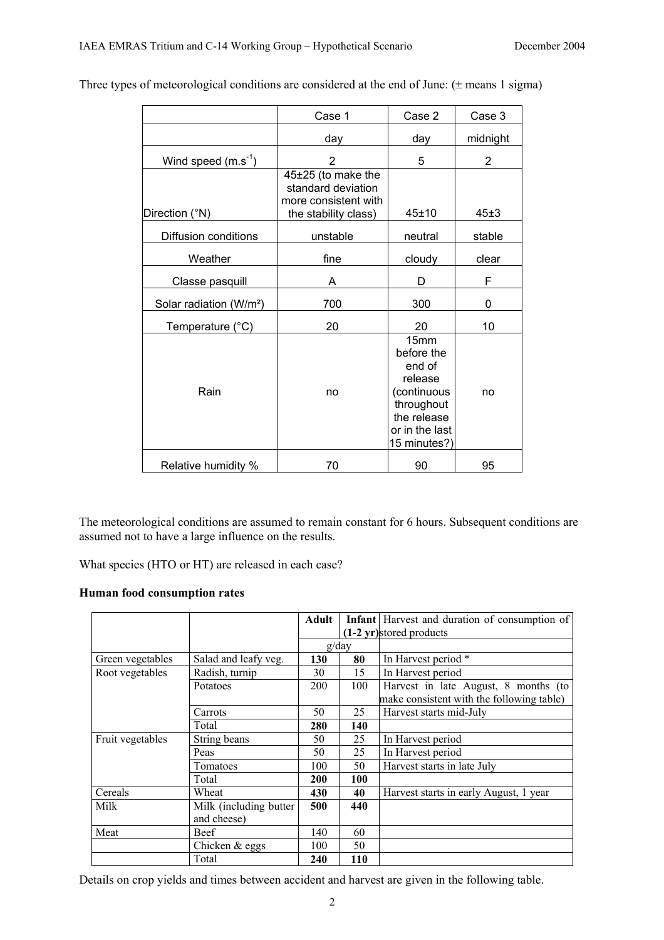|                                     | Case 1                                                                                   | Case 2                                                                                                                | Case 3         |
|-------------------------------------|------------------------------------------------------------------------------------------|-----------------------------------------------------------------------------------------------------------------------|----------------|
|                                     | day                                                                                      | day                                                                                                                   | midnight       |
| Wind speed $(m.s-1)$                | 2                                                                                        | 5                                                                                                                     | $\overline{2}$ |
| Direction (°N)                      | 45±25 (to make the<br>standard deviation<br>more consistent with<br>the stability class) | $45 + 10$                                                                                                             | 45±3           |
| Diffusion conditions                | unstable                                                                                 | neutral                                                                                                               | stable         |
| Weather                             | fine                                                                                     | cloudy                                                                                                                | clear          |
| Classe pasquill                     | A                                                                                        | D                                                                                                                     | F              |
| Solar radiation (W/m <sup>2</sup> ) | 700                                                                                      | 300                                                                                                                   | 0              |
| Temperature (°C)                    | 20                                                                                       | 20                                                                                                                    | 10             |
| Rain                                | no                                                                                       | 15mm<br>before the<br>end of<br>release<br>(continuous<br>throughout<br>the release<br>or in the last<br>15 minutes?) | no             |
| Relative humidity %                 | 70                                                                                       | 90                                                                                                                    | 95             |

Three types of meteorological conditions are considered at the end of June: (± means 1 sigma)

The meteorological conditions are assumed to remain constant for 6 hours. Subsequent conditions are assumed not to have a large influence on the results.

What species (HTO or HT) are released in each case?

### **Human food consumption rates**

|                  |                        | Adult      |       | <b>Infant</b> Harvest and duration of consumption of |
|------------------|------------------------|------------|-------|------------------------------------------------------|
|                  |                        |            |       | $(1-2 \text{ yr})$ stored products                   |
|                  |                        |            | g/day |                                                      |
| Green vegetables | Salad and leafy veg.   | 130        | 80    | In Harvest period *                                  |
| Root vegetables  | Radish, turnip         | 30         | 15    | In Harvest period                                    |
|                  | Potatoes               | <b>200</b> | 100   | Harvest in late August, 8 months (to                 |
|                  |                        |            |       | make consistent with the following table)            |
|                  | Carrots                | 50         | 25    | Harvest starts mid-July                              |
|                  | Total                  | 280        | 140   |                                                      |
| Fruit vegetables | String beans           | 50         | 25    | In Harvest period                                    |
|                  | Peas                   | 50         | 25    | In Harvest period                                    |
|                  | Tomatoes               | 100        | 50    | Harvest starts in late July                          |
|                  | Total                  | <b>200</b> | 100   |                                                      |
| Cereals          | Wheat                  | 430        | 40    | Harvest starts in early August, 1 year               |
| Milk             | Milk (including butter | 500        | 440   |                                                      |
|                  | and cheese)            |            |       |                                                      |
| Meat             | Beef                   | 140        | 60    |                                                      |
|                  | Chicken $&$ eggs       | 100        | 50    |                                                      |
|                  | Total                  | 240        | 110   |                                                      |

Details on crop yields and times between accident and harvest are given in the following table.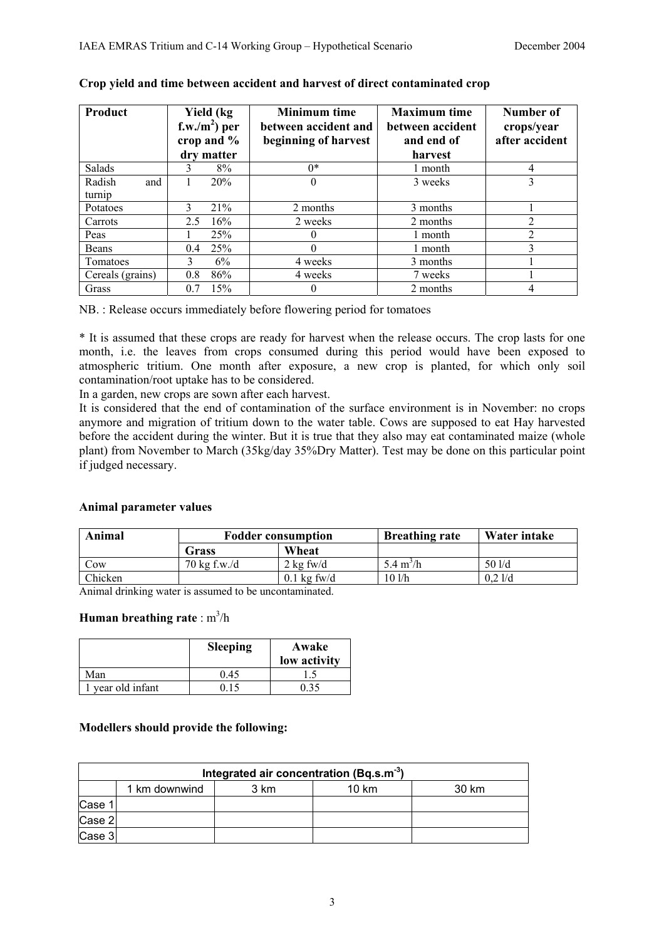| Product          | Yield (kg<br>f.w./m <sup>2</sup> ) per<br>crop and %<br>dry matter | <b>Minimum time</b><br>between accident and<br>beginning of harvest | <b>Maximum time</b><br>between accident<br>and end of<br>harvest | Number of<br>crops/year<br>after accident |
|------------------|--------------------------------------------------------------------|---------------------------------------------------------------------|------------------------------------------------------------------|-------------------------------------------|
| <b>Salads</b>    | 8%<br>3                                                            | $0*$                                                                | 1 month                                                          | 4                                         |
| Radish<br>and    | 20%                                                                |                                                                     | 3 weeks                                                          | 3                                         |
| turnip           |                                                                    |                                                                     |                                                                  |                                           |
| Potatoes         | 21%<br>$\mathcal{L}$                                               | 2 months                                                            | 3 months                                                         |                                           |
| Carrots          | 16%<br>2.5                                                         | 2 weeks                                                             | 2 months                                                         | $\overline{2}$                            |
| Peas             | 25%                                                                |                                                                     | 1 month                                                          | $\overline{2}$                            |
| Beans            | 25%<br>0.4                                                         | 0                                                                   | 1 month                                                          | 3                                         |
| Tomatoes         | 6%<br>3                                                            | 4 weeks                                                             | 3 months                                                         |                                           |
| Cereals (grains) | 86%<br>0.8                                                         | 4 weeks                                                             | 7 weeks                                                          |                                           |
| Grass            | 15%<br>0.7                                                         | $\theta$                                                            | 2 months                                                         | 4                                         |

#### **Crop yield and time between accident and harvest of direct contaminated crop**

NB. : Release occurs immediately before flowering period for tomatoes

\* It is assumed that these crops are ready for harvest when the release occurs. The crop lasts for one month, i.e. the leaves from crops consumed during this period would have been exposed to atmospheric tritium. One month after exposure, a new crop is planted, for which only soil contamination/root uptake has to be considered.

In a garden, new crops are sown after each harvest.

It is considered that the end of contamination of the surface environment is in November: no crops anymore and migration of tritium down to the water table. Cows are supposed to eat Hay harvested before the accident during the winter. But it is true that they also may eat contaminated maize (whole plant) from November to March (35kg/day 35%Dry Matter). Test may be done on this particular point if judged necessary.

#### **Animal parameter values**

| Animal  |                        | <b>Fodder consumption</b>          | <b>Breathing rate</b>      | Water intake |
|---------|------------------------|------------------------------------|----------------------------|--------------|
|         | Grass                  | Wheat                              |                            |              |
| Cow     | $70 \text{ kg}$ f.w./d | $2 \text{ kg } \text{fw}/\text{d}$ | $5.4 \text{ m}^3/\text{h}$ | 501/d        |
| Chicken |                        | $0.1 \text{ kg}$ fw/d              | 10 l/h                     | $0.2$ 1/d    |

Animal drinking water is assumed to be uncontaminated.

#### **Human breathing rate** : m<sup>3</sup>/h

|                 | <b>Sleeping</b> | Awake<br>low activity |
|-----------------|-----------------|-----------------------|
| Man             | 0.45            |                       |
| year old infant |                 | 35                    |

#### **Modellers should provide the following:**

| Integrated air concentration (Bq.s.m <sup>-3</sup> ) |               |      |       |       |  |  |  |  |  |
|------------------------------------------------------|---------------|------|-------|-------|--|--|--|--|--|
|                                                      | 1 km downwind | 3 km | 10 km | 30 km |  |  |  |  |  |
| Case 1                                               |               |      |       |       |  |  |  |  |  |
| Case 2                                               |               |      |       |       |  |  |  |  |  |
| Case 3                                               |               |      |       |       |  |  |  |  |  |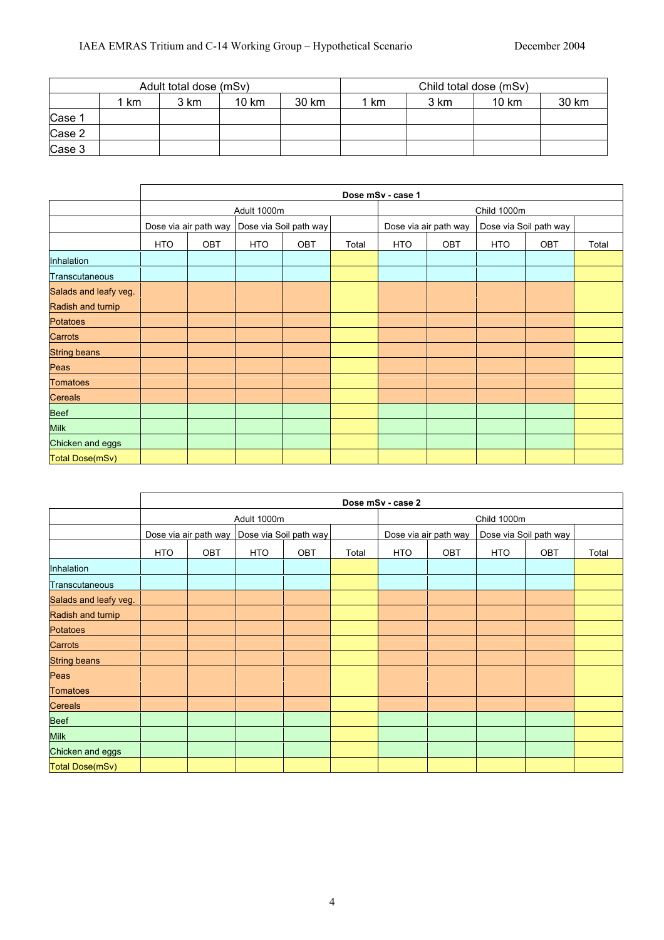| Adult total dose (mSv) |    |      |       |       | Child total dose (mSv) |      |       |       |
|------------------------|----|------|-------|-------|------------------------|------|-------|-------|
|                        | km | 3 km | 10 km | 30 km | km                     | 3 km | 10 km | 30 km |
| Case 1                 |    |      |       |       |                        |      |       |       |
| Case 2                 |    |      |       |       |                        |      |       |       |
| Case 3                 |    |      |       |       |                        |      |       |       |

|                       |            |                       |             |                        |       | Dose mSv - case 1     |     |                        |     |       |
|-----------------------|------------|-----------------------|-------------|------------------------|-------|-----------------------|-----|------------------------|-----|-------|
|                       |            |                       | Adult 1000m |                        |       |                       |     | Child 1000m            |     |       |
|                       |            | Dose via air path way |             | Dose via Soil path way |       | Dose via air path way |     | Dose via Soil path way |     |       |
|                       | <b>HTO</b> | OBT                   | <b>HTO</b>  | OBT                    | Total | <b>HTO</b>            | OBT | <b>HTO</b>             | OBT | Total |
| Inhalation            |            |                       |             |                        |       |                       |     |                        |     |       |
| Transcutaneous        |            |                       |             |                        |       |                       |     |                        |     |       |
| Salads and leafy veg. |            |                       |             |                        |       |                       |     |                        |     |       |
| Radish and turnip     |            |                       |             |                        |       |                       |     |                        |     |       |
| <b>Potatoes</b>       |            |                       |             |                        |       |                       |     |                        |     |       |
| Carrots               |            |                       |             |                        |       |                       |     |                        |     |       |
| <b>String beans</b>   |            |                       |             |                        |       |                       |     |                        |     |       |
| Peas                  |            |                       |             |                        |       |                       |     |                        |     |       |
| <b>Tomatoes</b>       |            |                       |             |                        |       |                       |     |                        |     |       |
| <b>Cereals</b>        |            |                       |             |                        |       |                       |     |                        |     |       |
| <b>Beef</b>           |            |                       |             |                        |       |                       |     |                        |     |       |
| <b>Milk</b>           |            |                       |             |                        |       |                       |     |                        |     |       |
| Chicken and eggs      |            |                       |             |                        |       |                       |     |                        |     |       |
| Total Dose(mSv)       |            |                       |             |                        |       |                       |     |                        |     |       |

|                       |     |                       |             |                        |       | Dose mSv - case 2     |     |                        |     |       |
|-----------------------|-----|-----------------------|-------------|------------------------|-------|-----------------------|-----|------------------------|-----|-------|
|                       |     |                       | Adult 1000m |                        |       |                       |     | Child 1000m            |     |       |
|                       |     | Dose via air path way |             | Dose via Soil path way |       | Dose via air path way |     | Dose via Soil path way |     |       |
|                       | HTO | OBT                   | <b>HTO</b>  | <b>OBT</b>             | Total | <b>HTO</b>            | OBT | HTO                    | OBT | Total |
| Inhalation            |     |                       |             |                        |       |                       |     |                        |     |       |
| Transcutaneous        |     |                       |             |                        |       |                       |     |                        |     |       |
| Salads and leafy veg. |     |                       |             |                        |       |                       |     |                        |     |       |
| Radish and turnip     |     |                       |             |                        |       |                       |     |                        |     |       |
| <b>Potatoes</b>       |     |                       |             |                        |       |                       |     |                        |     |       |
| Carrots               |     |                       |             |                        |       |                       |     |                        |     |       |
| <b>String beans</b>   |     |                       |             |                        |       |                       |     |                        |     |       |
| Peas                  |     |                       |             |                        |       |                       |     |                        |     |       |
| <b>Tomatoes</b>       |     |                       |             |                        |       |                       |     |                        |     |       |
| <b>Cereals</b>        |     |                       |             |                        |       |                       |     |                        |     |       |
| <b>Beef</b>           |     |                       |             |                        |       |                       |     |                        |     |       |
| <b>Milk</b>           |     |                       |             |                        |       |                       |     |                        |     |       |
| Chicken and eggs      |     |                       |             |                        |       |                       |     |                        |     |       |
| Total Dose(mSv)       |     |                       |             |                        |       |                       |     |                        |     |       |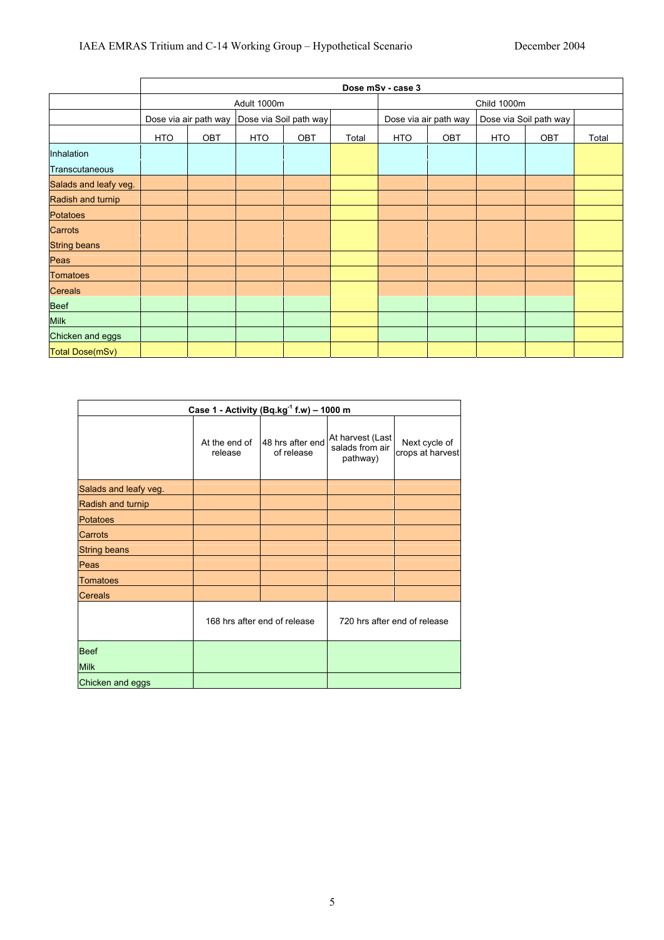|                       |            | Dose mSv - case 3     |             |                        |       |                       |     |             |                        |       |  |  |
|-----------------------|------------|-----------------------|-------------|------------------------|-------|-----------------------|-----|-------------|------------------------|-------|--|--|
|                       |            |                       | Adult 1000m |                        |       |                       |     | Child 1000m |                        |       |  |  |
|                       |            | Dose via air path way |             | Dose via Soil path way |       | Dose via air path way |     |             | Dose via Soil path way |       |  |  |
|                       | <b>HTO</b> | OBT                   | <b>HTO</b>  | <b>OBT</b>             | Total | <b>HTO</b>            | OBT | HTO         | OBT                    | Total |  |  |
| Inhalation            |            |                       |             |                        |       |                       |     |             |                        |       |  |  |
| Transcutaneous        |            |                       |             |                        |       |                       |     |             |                        |       |  |  |
| Salads and leafy veg. |            |                       |             |                        |       |                       |     |             |                        |       |  |  |
| Radish and turnip     |            |                       |             |                        |       |                       |     |             |                        |       |  |  |
| <b>Potatoes</b>       |            |                       |             |                        |       |                       |     |             |                        |       |  |  |
| Carrots               |            |                       |             |                        |       |                       |     |             |                        |       |  |  |
| <b>String beans</b>   |            |                       |             |                        |       |                       |     |             |                        |       |  |  |
| Peas                  |            |                       |             |                        |       |                       |     |             |                        |       |  |  |
| <b>Tomatoes</b>       |            |                       |             |                        |       |                       |     |             |                        |       |  |  |
| <b>Cereals</b>        |            |                       |             |                        |       |                       |     |             |                        |       |  |  |
| <b>Beef</b>           |            |                       |             |                        |       |                       |     |             |                        |       |  |  |
| <b>Milk</b>           |            |                       |             |                        |       |                       |     |             |                        |       |  |  |
| Chicken and eggs      |            |                       |             |                        |       |                       |     |             |                        |       |  |  |
| Total Dose(mSv)       |            |                       |             |                        |       |                       |     |             |                        |       |  |  |

| Case 1 - Activity (Bq.kg $^{-1}$ f.w) - 1000 m |                          |                                |                                                 |                                   |  |  |  |  |  |
|------------------------------------------------|--------------------------|--------------------------------|-------------------------------------------------|-----------------------------------|--|--|--|--|--|
|                                                | At the end of<br>release | 48 hrs after end<br>of release | At harvest (Last<br>salads from air<br>pathway) | Next cycle of<br>crops at harvest |  |  |  |  |  |
| Salads and leafy veg.                          |                          |                                |                                                 |                                   |  |  |  |  |  |
| Radish and turnip                              |                          |                                |                                                 |                                   |  |  |  |  |  |
| <b>Potatoes</b>                                |                          |                                |                                                 |                                   |  |  |  |  |  |
| Carrots                                        |                          |                                |                                                 |                                   |  |  |  |  |  |
| <b>String beans</b>                            |                          |                                |                                                 |                                   |  |  |  |  |  |
| Peas                                           |                          |                                |                                                 |                                   |  |  |  |  |  |
| <b>Tomatoes</b>                                |                          |                                |                                                 |                                   |  |  |  |  |  |
| <b>Cereals</b>                                 |                          |                                |                                                 |                                   |  |  |  |  |  |
|                                                |                          | 168 hrs after end of release   |                                                 | 720 hrs after end of release      |  |  |  |  |  |
| <b>Beef</b>                                    |                          |                                |                                                 |                                   |  |  |  |  |  |
| <b>Milk</b>                                    |                          |                                |                                                 |                                   |  |  |  |  |  |
| Chicken and eggs                               |                          |                                |                                                 |                                   |  |  |  |  |  |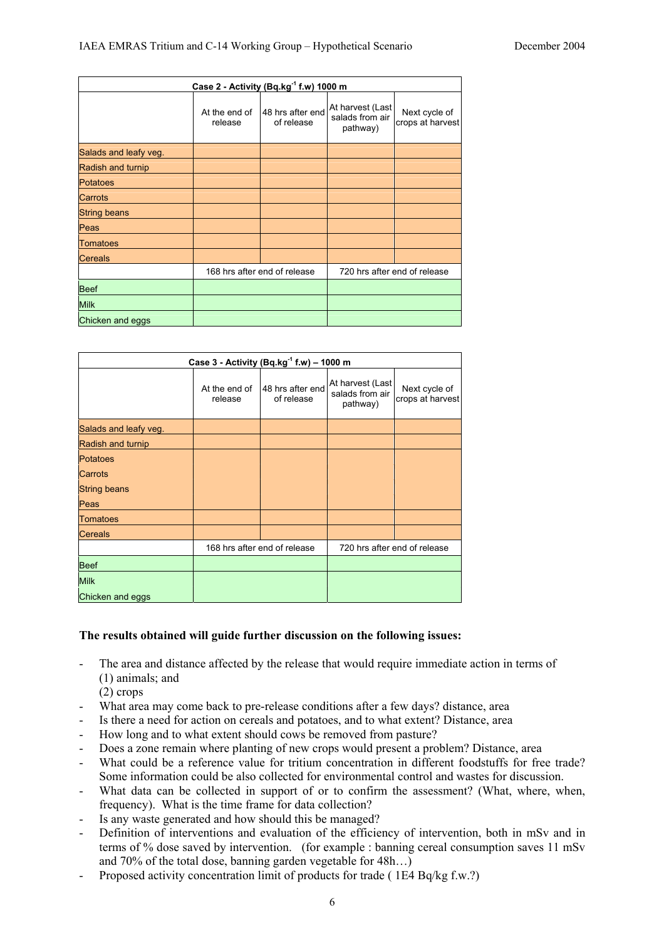| Case 2 - Activity (Bq.kg <sup>-1</sup> f.w) 1000 m |                              |                                |                                                 |                                   |  |  |
|----------------------------------------------------|------------------------------|--------------------------------|-------------------------------------------------|-----------------------------------|--|--|
|                                                    | At the end of<br>release     | 48 hrs after end<br>of release | At harvest (Last<br>salads from air<br>pathway) | Next cycle of<br>crops at harvest |  |  |
| Salads and leafy veg.                              |                              |                                |                                                 |                                   |  |  |
| Radish and turnip                                  |                              |                                |                                                 |                                   |  |  |
| <b>Potatoes</b>                                    |                              |                                |                                                 |                                   |  |  |
| Carrots                                            |                              |                                |                                                 |                                   |  |  |
| <b>String beans</b>                                |                              |                                |                                                 |                                   |  |  |
| Peas                                               |                              |                                |                                                 |                                   |  |  |
| <b>Tomatoes</b>                                    |                              |                                |                                                 |                                   |  |  |
| Cereals                                            |                              |                                |                                                 |                                   |  |  |
|                                                    | 168 hrs after end of release |                                | 720 hrs after end of release                    |                                   |  |  |
| <b>Beef</b>                                        |                              |                                |                                                 |                                   |  |  |
| <b>Milk</b>                                        |                              |                                |                                                 |                                   |  |  |
| Chicken and eggs                                   |                              |                                |                                                 |                                   |  |  |

| Case 3 - Activity (Bq.kg $^{-1}$ f.w) - 1000 m |                              |                                |                                                 |                                   |  |  |
|------------------------------------------------|------------------------------|--------------------------------|-------------------------------------------------|-----------------------------------|--|--|
|                                                | At the end of<br>release     | 48 hrs after end<br>of release | At harvest (Last<br>salads from air<br>pathway) | Next cycle of<br>crops at harvest |  |  |
| Salads and leafy veg.                          |                              |                                |                                                 |                                   |  |  |
| Radish and turnip                              |                              |                                |                                                 |                                   |  |  |
| <b>Potatoes</b>                                |                              |                                |                                                 |                                   |  |  |
| Carrots                                        |                              |                                |                                                 |                                   |  |  |
| <b>String beans</b>                            |                              |                                |                                                 |                                   |  |  |
| Peas                                           |                              |                                |                                                 |                                   |  |  |
| Tomatoes                                       |                              |                                |                                                 |                                   |  |  |
| <b>Cereals</b>                                 |                              |                                |                                                 |                                   |  |  |
|                                                | 168 hrs after end of release |                                | 720 hrs after end of release                    |                                   |  |  |
| <b>Beef</b>                                    |                              |                                |                                                 |                                   |  |  |
| <b>Milk</b>                                    |                              |                                |                                                 |                                   |  |  |
| Chicken and eggs                               |                              |                                |                                                 |                                   |  |  |

#### **The results obtained will guide further discussion on the following issues:**

- The area and distance affected by the release that would require immediate action in terms of (1) animals; and
	- (2) crops
- What area may come back to pre-release conditions after a few days? distance, area
- Is there a need for action on cereals and potatoes, and to what extent? Distance, area
- How long and to what extent should cows be removed from pasture?
- Does a zone remain where planting of new crops would present a problem? Distance, area
- What could be a reference value for tritium concentration in different foodstuffs for free trade? Some information could be also collected for environmental control and wastes for discussion.
- What data can be collected in support of or to confirm the assessment? (What, where, when, frequency). What is the time frame for data collection?
- Is any waste generated and how should this be managed?
- Definition of interventions and evaluation of the efficiency of intervention, both in mSv and in terms of % dose saved by intervention. (for example : banning cereal consumption saves 11 mSv and 70% of the total dose, banning garden vegetable for 48h…)
- Proposed activity concentration limit of products for trade (1E4 Bq/kg f.w.?)